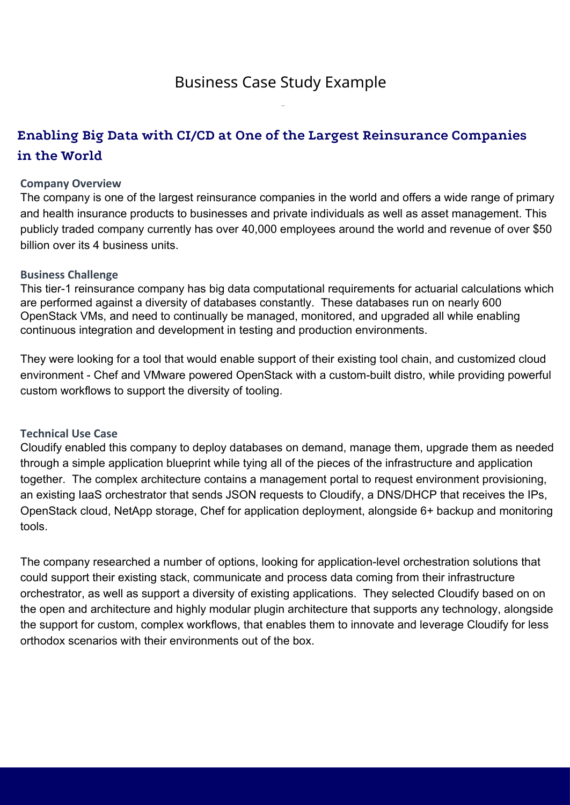# **Enabling Big Data with CI/CD at One of the Largest Reinsurance Companies in the World**

## **Company Overview**

The company is one of the largest reinsurance companies in the world and offers a wide range of primary and health insurance products to businesses and private individuals as well as asset management. This publicly traded company currently has over 40,000 employees around the world and revenue of over \$50 billion over its 4 business units.

### **Business Challenge**

This tier-1 reinsurance company has big data computational requirements for actuarial calculations which are performed against a diversity of databases constantly. These databases run on nearly 600 OpenStack VMs, and need to continually be managed, monitored, and upgraded all while enabling continuous integration and development in testing and production environments.

They were looking for a tool that would enable support of their existing tool chain, and customized cloud environment - Chef and VMware powered OpenStack with a custom-built distro, while providing powerful custom workflows to support the diversity of tooling.

### **Technical Use Case**

Cloudify enabled this company to deploy databases on demand, manage them, upgrade them as needed through a simple application blueprint while tying all of the pieces of the infrastructure and application together. The complex architecture contains a management portal to request environment provisioning, an existing IaaS orchestrator that sends JSON requests to Cloudify, a DNS/DHCP that receives the IPs, OpenStack cloud, NetApp storage, Chef for application deployment, alongside 6+ backup and monitoring tools.

The company researched a number of options, looking for application-level orchestration solutions that could support their existing stack, communicate and process data coming from their infrastructure orchestrator, as well as support a diversity of existing applications. They selected Cloudify based on on the open and architecture and highly modular plugin architecture that supports any technology, alongside the support for custom, complex workflows, that enables them to innovate and leverage Cloudify for less orthodox scenarios with their environments out of the box.